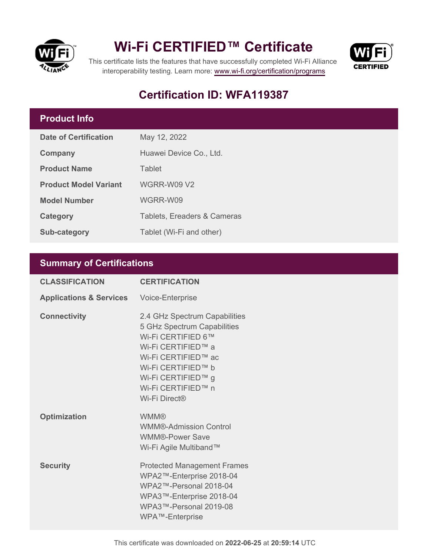



This certificate lists the features that have successfully completed Wi-Fi Alliance interoperability testing. Learn more:<www.wi-fi.org/certification/programs>

## **Certification ID: WFA119387**

## **Product Info**

| Date of Certification        | May 12, 2022                           |
|------------------------------|----------------------------------------|
| Company                      | Huawei Device Co., Ltd.                |
| <b>Product Name</b>          | Tablet                                 |
| <b>Product Model Variant</b> | <b>WGRR-W09 V2</b>                     |
| <b>Model Number</b>          | WGRR-W09                               |
| Category                     | <b>Tablets, Ereaders &amp; Cameras</b> |
| <b>Sub-category</b>          | Tablet (Wi-Fi and other)               |

## **Summary of Certifications**

| <b>CLASSIFICATION</b>              | <b>CERTIFICATION</b>                                                                                                                                                                                               |
|------------------------------------|--------------------------------------------------------------------------------------------------------------------------------------------------------------------------------------------------------------------|
| <b>Applications &amp; Services</b> | Voice-Enterprise                                                                                                                                                                                                   |
| <b>Connectivity</b>                | 2.4 GHz Spectrum Capabilities<br>5 GHz Spectrum Capabilities<br>Wi-Fi CERTIFIED 6™<br>Wi-Fi CERTIFIED™ a<br>Wi-Fi CERTIFIED™ ac<br>Wi-Fi CERTIFIED™ b<br>Wi-Fi CERTIFIED™ g<br>Wi-Fi CERTIFIED™ n<br>Wi-Fi Direct® |
| <b>Optimization</b>                | <b>WMM®</b><br><b>WMM®-Admission Control</b><br><b>WMM®-Power Save</b><br>Wi-Fi Agile Multiband™                                                                                                                   |
| <b>Security</b>                    | <b>Protected Management Frames</b><br>WPA2™-Enterprise 2018-04<br>WPA2™-Personal 2018-04<br>WPA3™-Enterprise 2018-04<br>WPA3™-Personal 2019-08<br>WPA™-Enterprise                                                  |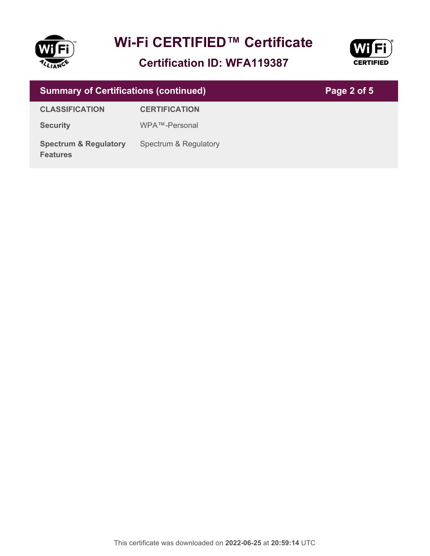

**Certification ID: WFA119387**



| <b>Summary of Certifications (continued)</b>        |                       | Page 2 of 5 |
|-----------------------------------------------------|-----------------------|-------------|
| <b>CLASSIFICATION</b>                               | <b>CERTIFICATION</b>  |             |
| <b>Security</b>                                     | WPA™-Personal         |             |
| <b>Spectrum &amp; Regulatory</b><br><b>Features</b> | Spectrum & Regulatory |             |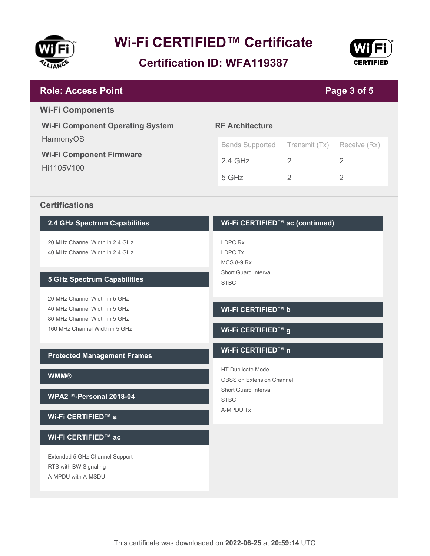

**Certification ID: WFA119387**



| <b>Role: Access Point</b>                                       |                                                                 |                | Page 3 of 5    |
|-----------------------------------------------------------------|-----------------------------------------------------------------|----------------|----------------|
| <b>Wi-Fi Components</b>                                         |                                                                 |                |                |
| <b>Wi-Fi Component Operating System</b><br>HarmonyOS            | <b>RF Architecture</b>                                          |                |                |
| <b>Wi-Fi Component Firmware</b>                                 | <b>Bands Supported</b>                                          | Transmit (Tx)  | Receive (Rx)   |
| Hi1105V100                                                      | $2.4$ GHz                                                       | 2              | $\overline{2}$ |
|                                                                 | 5 GHz                                                           | $\overline{2}$ | $\overline{2}$ |
| <b>Certifications</b>                                           |                                                                 |                |                |
| 2.4 GHz Spectrum Capabilities                                   | Wi-Fi CERTIFIED™ ac (continued)                                 |                |                |
| 20 MHz Channel Width in 2.4 GHz                                 | LDPC Rx                                                         |                |                |
| 40 MHz Channel Width in 2.4 GHz                                 | LDPC Tx                                                         |                |                |
| <b>5 GHz Spectrum Capabilities</b>                              | <b>MCS 8-9 Rx</b><br><b>Short Guard Interval</b><br><b>STBC</b> |                |                |
| 20 MHz Channel Width in 5 GHz                                   |                                                                 |                |                |
| 40 MHz Channel Width in 5 GHz                                   | Wi-Fi CERTIFIED™ b                                              |                |                |
| 80 MHz Channel Width in 5 GHz<br>160 MHz Channel Width in 5 GHz | Wi-Fi CERTIFIED™ g                                              |                |                |
| <b>Protected Management Frames</b>                              | Wi-Fi CERTIFIED™ n                                              |                |                |
| <b>WMM®</b>                                                     | HT Duplicate Mode                                               |                |                |
|                                                                 | <b>OBSS on Extension Channel</b><br>Short Guard Interval        |                |                |
| WPA2™-Personal 2018-04                                          | <b>STBC</b>                                                     |                |                |
| Wi-Fi CERTIFIED™ a                                              | A-MPDU Tx                                                       |                |                |
| Wi-Fi CERTIFIED™ ac                                             |                                                                 |                |                |
| Extended 5 GHz Channel Support                                  |                                                                 |                |                |
| RTS with BW Signaling<br>A-MPDU with A-MSDU                     |                                                                 |                |                |
|                                                                 |                                                                 |                |                |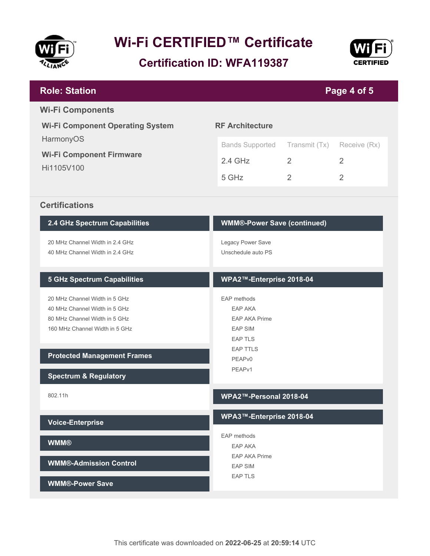

**Certification ID: WFA119387**



| <b>Role: Station</b>                                           |                                        |                | Page 4 of 5    |
|----------------------------------------------------------------|----------------------------------------|----------------|----------------|
| <b>Wi-Fi Components</b>                                        |                                        |                |                |
| <b>Wi-Fi Component Operating System</b>                        | <b>RF Architecture</b>                 |                |                |
| HarmonyOS                                                      | <b>Bands Supported</b>                 | Transmit (Tx)  | Receive (Rx)   |
| <b>Wi-Fi Component Firmware</b>                                | $2.4$ GHz                              | 2              | 2              |
| Hi1105V100                                                     |                                        |                |                |
|                                                                | 5 GHz                                  | $\overline{2}$ | $\overline{2}$ |
| <b>Certifications</b>                                          |                                        |                |                |
| 2.4 GHz Spectrum Capabilities                                  | <b>WMM®-Power Save (continued)</b>     |                |                |
| 20 MHz Channel Width in 2.4 GHz                                | Legacy Power Save                      |                |                |
| 40 MHz Channel Width in 2.4 GHz                                | Unschedule auto PS                     |                |                |
|                                                                |                                        |                |                |
| <b>5 GHz Spectrum Capabilities</b>                             | WPA2™-Enterprise 2018-04               |                |                |
| 20 MHz Channel Width in 5 GHz                                  | EAP methods                            |                |                |
| 40 MHz Channel Width in 5 GHz<br>80 MHz Channel Width in 5 GHz | <b>EAP AKA</b>                         |                |                |
| 160 MHz Channel Width in 5 GHz                                 | <b>EAP AKA Prime</b><br><b>EAP SIM</b> |                |                |
|                                                                | <b>EAP TLS</b>                         |                |                |
| <b>Protected Management Frames</b>                             | <b>EAP TTLS</b>                        |                |                |
|                                                                | PEAP <sub>v0</sub>                     |                |                |
| <b>Spectrum &amp; Regulatory</b>                               | PEAPv1                                 |                |                |
| 802.11h                                                        | WPA2™-Personal 2018-04                 |                |                |
| <b>Voice-Enterprise</b>                                        | WPA3™-Enterprise 2018-04               |                |                |
| <b>WMM®</b>                                                    | EAP methods                            |                |                |
|                                                                | <b>EAP AKA</b><br><b>EAP AKA Prime</b> |                |                |
| <b>WMM®-Admission Control</b>                                  | <b>EAP SIM</b>                         |                |                |
| <b>WMM®-Power Save</b>                                         | <b>EAP TLS</b>                         |                |                |